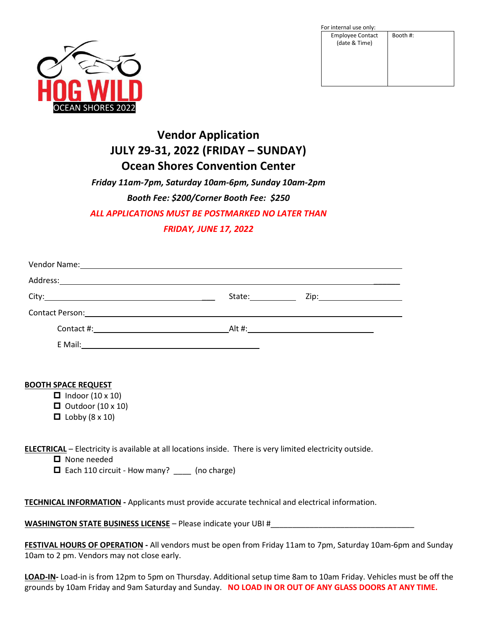

| For internal use only:                   |          |
|------------------------------------------|----------|
| <b>Employee Contact</b><br>(date & Time) | Booth #: |

# **Vendor Application JULY 29-31, 2022 (FRIDAY – SUNDAY) Ocean Shores Convention Center**

*Friday 11am-7pm, Saturday 10am-6pm, Sunday 10am-2pm Booth Fee: \$200/Corner Booth Fee: \$250 ALL APPLICATIONS MUST BE POSTMARKED NO LATER THAN FRIDAY, JUNE 17, 2022*

| Vendor Name: 1988 and 2008 and 2008 and 2008 and 2008 and 2008 and 2008 and 2008 and 2008 and 2008 and 2008 and 2008 and 2008 and 2008 and 2008 and 2008 and 2008 and 2008 and 2008 and 2008 and 2008 and 2008 and 2008 and 20 |                                                                                                                                                                                                                                |                                 |
|--------------------------------------------------------------------------------------------------------------------------------------------------------------------------------------------------------------------------------|--------------------------------------------------------------------------------------------------------------------------------------------------------------------------------------------------------------------------------|---------------------------------|
|                                                                                                                                                                                                                                |                                                                                                                                                                                                                                |                                 |
|                                                                                                                                                                                                                                | State: the state of the state of the state of the state of the state of the state of the state of the state of the state of the state of the state of the state of the state of the state of the state of the state of the sta | Zip:___________________________ |
|                                                                                                                                                                                                                                |                                                                                                                                                                                                                                |                                 |
|                                                                                                                                                                                                                                |                                                                                                                                                                                                                                |                                 |
| E Mail:                                                                                                                                                                                                                        |                                                                                                                                                                                                                                |                                 |

### **BOOTH SPACE REQUEST**

- $\Box$  Indoor (10 x 10)
- $\Box$  Outdoor (10 x 10)
- $\Box$  Lobby (8 x 10)

**ELECTRICAL** – Electricity is available at all locations inside. There is very limited electricity outside.

■ None needed

□ Each 110 circuit - How many? \_\_\_\_ (no charge)

**TECHNICAL INFORMATION -** Applicants must provide accurate technical and electrical information.

**WASHINGTON STATE BUSINESS LICENSE** – Please indicate your UBI #\_\_\_\_\_\_\_\_\_\_\_\_\_\_\_\_\_\_\_\_\_\_\_\_\_\_\_\_\_\_\_\_\_

**FESTIVAL HOURS OF OPERATION -** All vendors must be open from Friday 11am to 7pm, Saturday 10am-6pm and Sunday 10am to 2 pm. Vendors may not close early.

**LOAD-IN-** Load-in is from 12pm to 5pm on Thursday. Additional setup time 8am to 10am Friday. Vehicles must be off the grounds by 10am Friday and 9am Saturday and Sunday. **NO LOAD IN OR OUT OF ANY GLASS DOORS AT ANY TIME.**